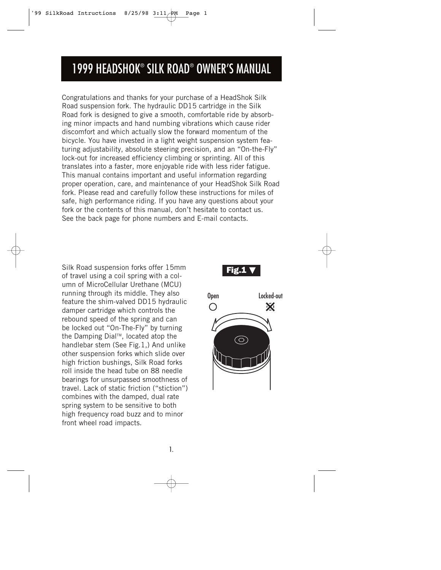# 1999 HEADSHOK® SILK ROAD® OWNER'S MANUAL

Congratulations and thanks for your purchase of a HeadShok Silk Road suspension fork. The hydraulic DD15 cartridge in the Silk Road fork is designed to give a smooth, comfortable ride by absorbing minor impacts and hand numbing vibrations which cause rider discomfort and which actually slow the forward momentum of the bicycle. You have invested in a light weight suspension system featuring adjustability, absolute steering precision, and an "On-the-Fly" lock-out for increased efficiency climbing or sprinting. All of this translates into a faster, more enjoyable ride with less rider fatigue. This manual contains important and useful information regarding proper operation, care, and maintenance of your HeadShok Silk Road fork. Please read and carefully follow these instructions for miles of safe, high performance riding. If you have any questions about your fork or the contents of this manual, don't hesitate to contact us. See the back page for phone numbers and E-mail contacts.

Silk Road suspension forks offer 15mm of travel using a coil spring with a column of MicroCellular Urethane (MCU) running through its middle. They also feature the shim-valved DD15 hydraulic damper cartridge which controls the rebound speed of the spring and can be locked out "On-The-Fly" by turning the Damping Dial™, located atop the handlebar stem (See Fig.1,) And unlike other suspension forks which slide over high friction bushings, Silk Road forks roll inside the head tube on 88 needle bearings for unsurpassed smoothness of travel. Lack of static friction ("stiction") combines with the damped, dual rate spring system to be sensitive to both high frequency road buzz and to minor front wheel road impacts.



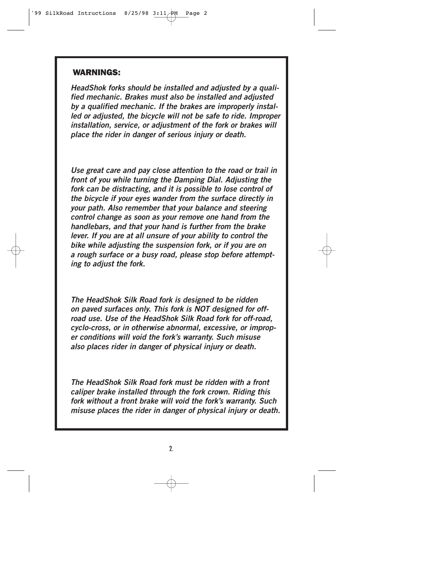## **WARNINGS:**

*HeadShok forks should be installed and adjusted by a qualified mechanic. Brakes must also be installed and adjusted by a qualified mechanic. If the brakes are improperly installed or adjusted, the bicycle will not be safe to ride. Improper installation, service, or adjustment of the fork or brakes will place the rider in danger of serious injury or death.*

*Use great care and pay close attention to the road or trail in front of you while turning the Damping Dial. Adjusting the fork can be distracting, and it is possible to lose control of the bicycle if your eyes wander from the surface directly in your path. Also remember that your balance and steering control change as soon as your remove one hand from the handlebars, and that your hand is further from the brake lever. If you are at all unsure of your ability to control the bike while adjusting the suspension fork, or if you are on a rough surface or a busy road, please stop before attempting to adjust the fork.*

*The HeadShok Silk Road fork is designed to be ridden on paved surfaces only. This fork is NOT designed for offroad use. Use of the HeadShok Silk Road fork for off-road, cyclo-cross, or in otherwise abnormal, excessive, or improper conditions will void the fork's warranty. Such misuse also places rider in danger of physical injury or death.* 

*The HeadShok Silk Road fork must be ridden with a front caliper brake installed through the fork crown. Riding this fork without a front brake will void the fork's warranty. Such misuse places the rider in danger of physical injury or death.*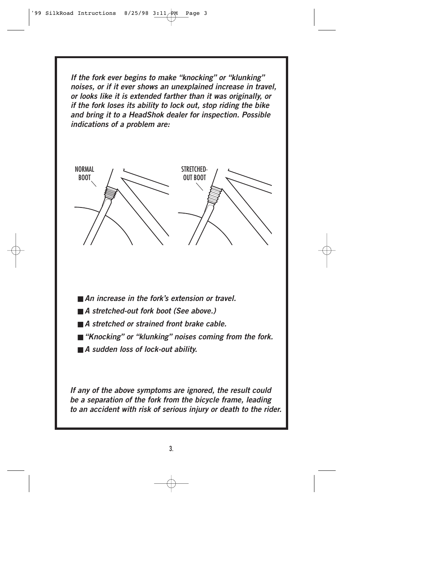*If the fork ever begins to make "knocking" or "klunking" noises, or if it ever shows an unexplained increase in travel, or looks like it is extended farther than it was originally, or if the fork loses its ability to lock out, stop riding the bike and bring it to a HeadShok dealer for inspection. Possible indications of a problem are:*



- An increase in the fork's extension or travel.
- *A stretched-out fork boot (See above.)*
- *A stretched or strained front brake cable.*
- "Knocking" or "klunking" noises coming from the fork.
- *A sudden loss of lock-out ability.*

*If any of the above symptoms are ignored, the result could be a separation of the fork from the bicycle frame, leading to an accident with risk of serious injury or death to the rider.*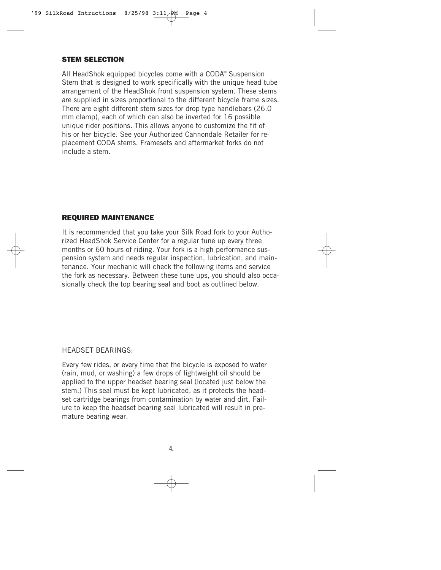## **STEM SELECTION**

All HeadShok equipped bicycles come with a CODA® Suspension Stem that is designed to work specifically with the unique head tube arrangement of the HeadShok front suspension system. These stems are supplied in sizes proportional to the different bicycle frame sizes. There are eight different stem sizes for drop type handlebars (26.0 mm clamp), each of which can also be inverted for 16 possible unique rider positions. This allows anyone to customize the fit of his or her bicycle. See your Authorized Cannondale Retailer for replacement CODA stems. Framesets and aftermarket forks do not include a stem.

## **REQUIRED MAINTENANCE**

It is recommended that you take your Silk Road fork to your Authorized HeadShok Service Center for a regular tune up every three months or 60 hours of riding. Your fork is a high performance suspension system and needs regular inspection, lubrication, and maintenance. Your mechanic will check the following items and service the fork as necessary. Between these tune ups, you should also occasionally check the top bearing seal and boot as outlined below.

## HEADSET BEARINGS:

Every few rides, or every time that the bicycle is exposed to water (rain, mud, or washing) a few drops of lightweight oil should be applied to the upper headset bearing seal (located just below the stem.) This seal must be kept lubricated, as it protects the headset cartridge bearings from contamination by water and dirt. Failure to keep the headset bearing seal lubricated will result in premature bearing wear.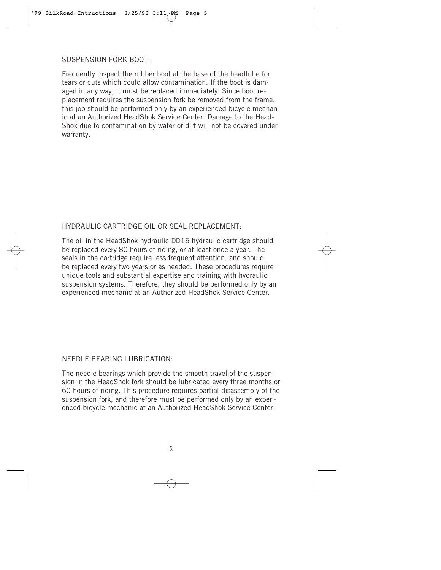SUSPENSION FORK BOOT:

Frequently inspect the rubber boot at the base of the headtube for tears or cuts which could allow contamination. If the boot is damaged in any way, it must be replaced immediately. Since boot replacement requires the suspension fork be removed from the frame, this job should be performed only by an experienced bicycle mechanic at an Authorized HeadShok Service Center. Damage to the Head-Shok due to contamination by water or dirt will not be covered under warranty.

## HYDRAULIC CARTRIDGE OIL OR SEAL REPLACEMENT:

The oil in the HeadShok hydraulic DD15 hydraulic cartridge should be replaced every 80 hours of riding, or at least once a year. The seals in the cartridge require less frequent attention, and should be replaced every two years or as needed. These procedures require unique tools and substantial expertise and training with hydraulic suspension systems. Therefore, they should be performed only by an experienced mechanic at an Authorized HeadShok Service Center.

## NEEDLE BEARING LUBRICATION:

The needle bearings which provide the smooth travel of the suspension in the HeadShok fork should be lubricated every three months or 60 hours of riding. This procedure requires partial disassembly of the suspension fork, and therefore must be performed only by an experienced bicycle mechanic at an Authorized HeadShok Service Center.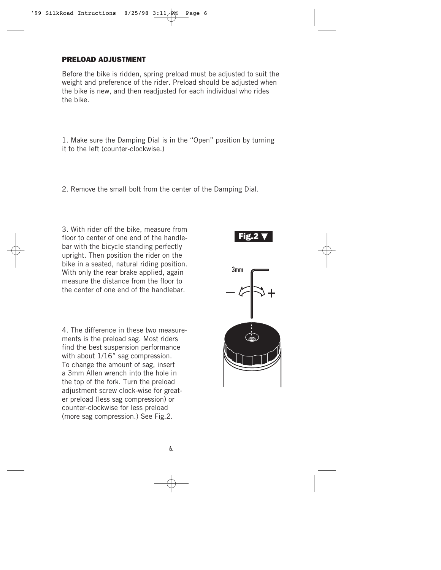## **PRELOAD ADJUSTMENT**

Before the bike is ridden, spring preload must be adjusted to suit the weight and preference of the rider. Preload should be adjusted when the bike is new, and then readjusted for each individual who rides the bike.

1. Make sure the Damping Dial is in the "Open" position by turning it to the left (counter-clockwise.)

2. Remove the small bolt from the center of the Damping Dial.

3. With rider off the bike, measure from floor to center of one end of the handlebar with the bicycle standing perfectly upright. Then position the rider on the bike in a seated, natural riding position. With only the rear brake applied, again measure the distance from the floor to the center of one end of the handlebar.

4. The difference in these two measurements is the preload sag. Most riders find the best suspension performance with about 1/16" sag compression. To change the amount of sag, insert a 3mm Allen wrench into the hole in the top of the fork. Turn the preload adjustment screw clock-wise for greater preload (less sag compression) or counter-clockwise for less preload (more sag compression.) See Fig.2.

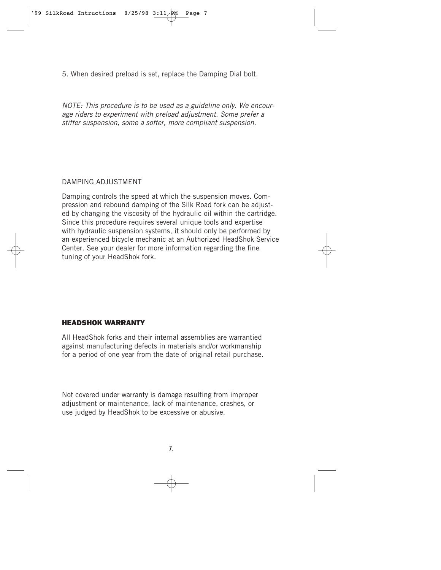5. When desired preload is set, replace the Damping Dial bolt.

NOTE: This procedure is to be used as a guideline only. We encourage riders to experiment with preload adjustment. Some prefer a stiffer suspension, some a softer, more compliant suspension.

# DAMPING ADJUSTMENT

Damping controls the speed at which the suspension moves. Compression and rebound damping of the Silk Road fork can be adjusted by changing the viscosity of the hydraulic oil within the cartridge. Since this procedure requires several unique tools and expertise with hydraulic suspension systems, it should only be performed by an experienced bicycle mechanic at an Authorized HeadShok Service Center. See your dealer for more information regarding the fine tuning of your HeadShok fork.

## **HEADSHOK WARRANTY**

All HeadShok forks and their internal assemblies are warrantied against manufacturing defects in materials and/or workmanship for a period of one year from the date of original retail purchase.

Not covered under warranty is damage resulting from improper adjustment or maintenance, lack of maintenance, crashes, or use judged by HeadShok to be excessive or abusive.